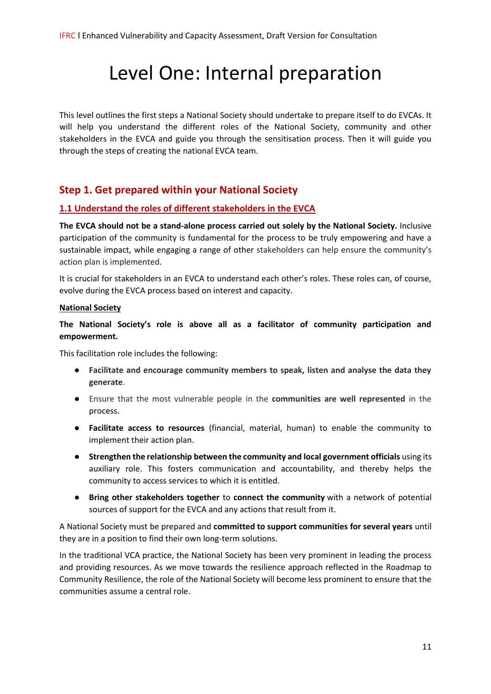# Level One: Internal preparation

This level outlines the first steps a National Society should undertake to prepare itself to do EVCAs. It will help you understand the different roles of the National Society, community and other stakeholders in the EVCA and guide you through the sensitisation process. Then it will guide you through the steps of creating the national EVCA team.

# **Step 1. Get prepared within your National Society**

## **1.1 Understand the roles of different stakeholders in the EVCA**

**The EVCA should not be a stand-alone process carried out solely by the National Society.** Inclusive participation of the community is fundamental for the process to be truly empowering and have a sustainable impact, while engaging a range of other stakeholders can help ensure the community's action plan is implemented.

It is crucial for stakeholders in an EVCA to understand each other's roles. These roles can, of course, evolve during the EVCA process based on interest and capacity.

#### **National Society**

**The National Society's role is above all as a facilitator of community participation and empowerment.**

This facilitation role includes the following:

- **Facilitate and encourage community members to speak, listen and analyse the data they generate**.
- Ensure that the most vulnerable people in the **communities are well represented** in the process.
- **Facilitate access to resources** (financial, material, human) to enable the community to implement their action plan.
- **Strengthen the relationship between the community and local government officials** using its auxiliary role. This fosters communication and accountability, and thereby helps the community to access services to which it is entitled.
- **Bring other stakeholders together** to **connect the community** with a network of potential sources of support for the EVCA and any actions that result from it.

A National Society must be prepared and **committed to support communities for several years** until they are in a position to find their own long-term solutions.

In the traditional VCA practice, the National Society has been very prominent in leading the process and providing resources. As we move towards the resilience approach reflected in the Roadmap to Community Resilience, the role of the National Society will become less prominent to ensure that the communities assume a central role.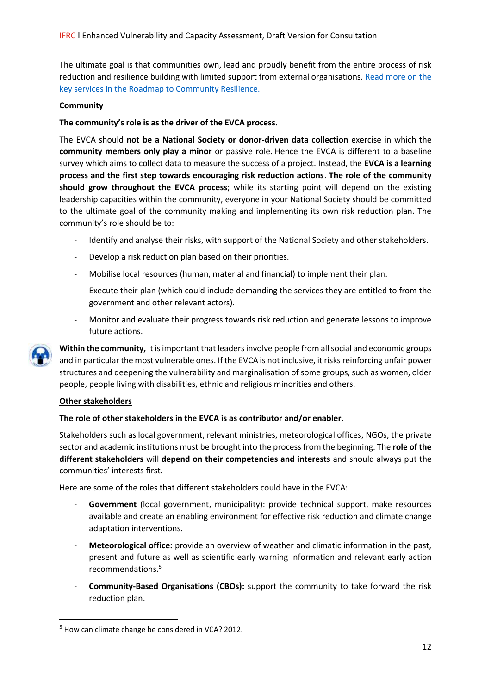The ultimate goal is that communities own, lead and proudly benefit from the entire process of risk reduction and resilience building with limited support from external organisations. [Read more on the](https://www.preparecenter.org/sites/default/files/1310403-road_map_to_community_resilience-en-04.pdf#page=18)  [key services in the Roadmap to Community Resilience.](https://www.preparecenter.org/sites/default/files/1310403-road_map_to_community_resilience-en-04.pdf#page=18)

#### **Community**

#### **The community's role is as the driver of the EVCA process.**

The EVCA should **not be a National Society or donor-driven data collection** exercise in which the **community members only play a minor** or passive role. Hence the EVCA is different to a baseline survey which aims to collect data to measure the success of a project. Instead, the **EVCA is a learning process and the first step towards encouraging risk reduction actions**. **The role of the community should grow throughout the EVCA process**; while its starting point will depend on the existing leadership capacities within the community, everyone in your National Society should be committed to the ultimate goal of the community making and implementing its own risk reduction plan. The community's role should be to:

- Identify and analyse their risks, with support of the National Society and other stakeholders.
- Develop a risk reduction plan based on their priorities.
- Mobilise local resources (human, material and financial) to implement their plan.
- Execute their plan (which could include demanding the services they are entitled to from the government and other relevant actors).
- Monitor and evaluate their progress towards risk reduction and generate lessons to improve future actions.



#### **Other stakeholders**

**.** 

#### **The role of other stakeholders in the EVCA is as contributor and/or enabler.**

Stakeholders such as local government, relevant ministries, meteorological offices, NGOs, the private sector and academic institutions must be brought into the process from the beginning. The **role of the different stakeholders** will **depend on their competencies and interests** and should always put the communities' interests first.

Here are some of the roles that different stakeholders could have in the EVCA:

- **Government** (local government, municipality): provide technical support, make resources available and create an enabling environment for effective risk reduction and climate change adaptation interventions.
- **Meteorological office:** provide an overview of weather and climatic information in the past, present and future as well as scientific early warning information and relevant early action recommendations.<sup>5</sup>
- **Community-Based Organisations (CBOs):** support the community to take forward the risk reduction plan.

<sup>5</sup> How can climate change be considered in VCA? 2012.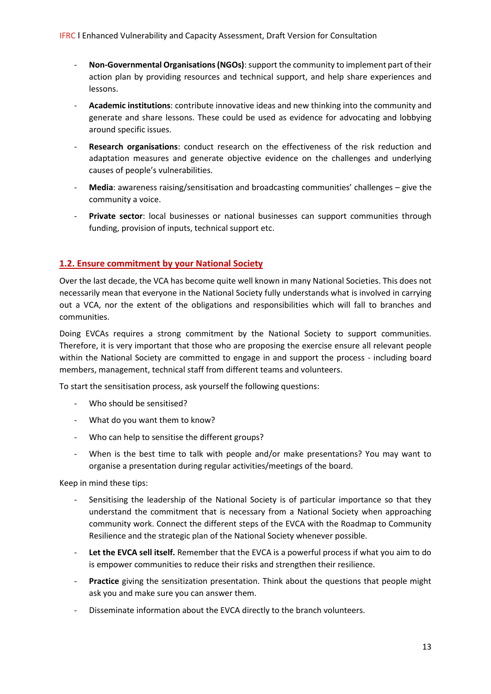- **Non-Governmental Organisations (NGOs)**: support the community to implement part of their action plan by providing resources and technical support, and help share experiences and lessons.
- **Academic institutions**: contribute innovative ideas and new thinking into the community and generate and share lessons. These could be used as evidence for advocating and lobbying around specific issues.
- Research organisations: conduct research on the effectiveness of the risk reduction and adaptation measures and generate objective evidence on the challenges and underlying causes of people's vulnerabilities.
- **Media**: awareness raising/sensitisation and broadcasting communities' challenges give the community a voice.
- Private sector: local businesses or national businesses can support communities through funding, provision of inputs, technical support etc.

## **1.2. Ensure commitment by your National Society**

Over the last decade, the VCA has become quite well known in many National Societies. This does not necessarily mean that everyone in the National Society fully understands what is involved in carrying out a VCA, nor the extent of the obligations and responsibilities which will fall to branches and communities.

Doing EVCAs requires a strong commitment by the National Society to support communities. Therefore, it is very important that those who are proposing the exercise ensure all relevant people within the National Society are committed to engage in and support the process - including board members, management, technical staff from different teams and volunteers.

To start the sensitisation process, ask yourself the following questions:

- Who should be sensitised?
- What do you want them to know?
- Who can help to sensitise the different groups?
- When is the best time to talk with people and/or make presentations? You may want to organise a presentation during regular activities/meetings of the board.

Keep in mind these tips:

- Sensitising the leadership of the National Society is of particular importance so that they understand the commitment that is necessary from a National Society when approaching community work. Connect the different steps of the EVCA with the Roadmap to Community Resilience and the strategic plan of the National Society whenever possible.
- Let the EVCA sell itself. Remember that the EVCA is a powerful process if what you aim to do is empower communities to reduce their risks and strengthen their resilience.
- Practice giving the sensitization presentation. Think about the questions that people might ask you and make sure you can answer them.
- Disseminate information about the EVCA directly to the branch volunteers.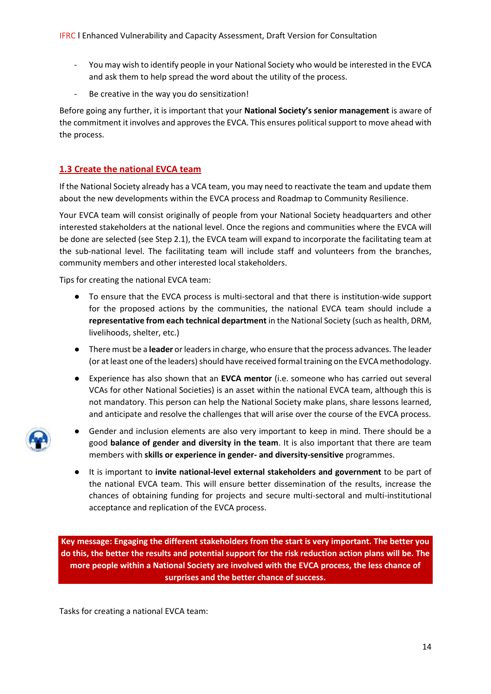- You may wish to identify people in your National Society who would be interested in the EVCA and ask them to help spread the word about the utility of the process.
- Be creative in the way you do sensitization!

Before going any further, it is important that your **National Society's senior management** is aware of the commitment it involves and approves the EVCA. This ensures political support to move ahead with the process.

# **1.3 Create the national EVCA team**

If the National Society already has a VCA team, you may need to reactivate the team and update them about the new developments within the EVCA process and Roadmap to Community Resilience.

Your EVCA team will consist originally of people from your National Society headquarters and other interested stakeholders at the national level. Once the regions and communities where the EVCA will be done are selected (see Step 2.1), the EVCA team will expand to incorporate the facilitating team at the sub-national level. The facilitating team will include staff and volunteers from the branches, community members and other interested local stakeholders.

Tips for creating the national EVCA team:

- To ensure that the EVCA process is multi-sectoral and that there is institution-wide support for the proposed actions by the communities, the national EVCA team should include a **representative from each technical department** in the National Society (such as health, DRM, livelihoods, shelter, etc.)
- There must be a **leader** or leaders in charge, who ensure that the process advances. The leader (or at least one of the leaders) should have received formal training on the EVCA methodology.
- Experience has also shown that an **EVCA mentor** (i.e. someone who has carried out several VCAs for other National Societies) is an asset within the national EVCA team, although this is not mandatory. This person can help the National Society make plans, share lessons learned, and anticipate and resolve the challenges that will arise over the course of the EVCA process.



- Gender and inclusion elements are also very important to keep in mind. There should be a good **balance of gender and diversity in the team**. It is also important that there are team members with **skills or experience in gender- and diversity-sensitive** programmes.
- It is important to **invite national-level external stakeholders and government** to be part of the national EVCA team. This will ensure better dissemination of the results, increase the chances of obtaining funding for projects and secure multi-sectoral and multi-institutional acceptance and replication of the EVCA process.

**Key message: Engaging the different stakeholders from the start is very important. The better you do this, the better the results and potential support for the risk reduction action plans will be. The more people within a National Society are involved with the EVCA process, the less chance of surprises and the better chance of success.**

Tasks for creating a national EVCA team: